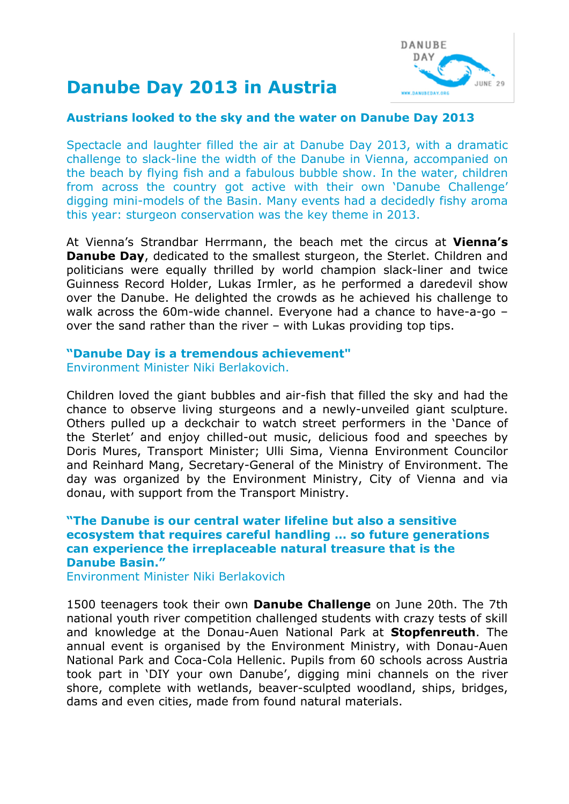

# **Danube Day 2013 in Austria**

#### **Austrians looked to the sky and the water on Danube Day 2013**

Spectacle and laughter filled the air at Danube Day 2013, with a dramatic challenge to slack-line the width of the Danube in Vienna, accompanied on the beach by flying fish and a fabulous bubble show. In the water, children from across the country got active with their own 'Danube Challenge' digging mini-models of the Basin. Many events had a decidedly fishy aroma this year: sturgeon conservation was the key theme in 2013.

At Vienna's Strandbar Herrmann, the beach met the circus at **Vienna's Danube Day**, dedicated to the smallest sturgeon, the Sterlet. Children and politicians were equally thrilled by world champion slack-liner and twice Guinness Record Holder, [Lukas Irmler,](http://www.lukas-irmler.com/) as he performed a daredevil show over the Danube. He delighted the crowds as he achieved his challenge to walk across the 60m-wide channel. Everyone had a chance to have-a-go – over the sand rather than the river – with Lukas providing top tips.

#### **"Danube Day is a tremendous achievement"** Environment Minister Niki Berlakovich.

Children loved the giant bubbles and air-fish that filled the sky and had the

chance to observe living sturgeons and a newly-unveiled giant sculpture. Others pulled up a deckchair to watch street performers in the 'Dance of the Sterlet' and enjoy chilled-out music, delicious food and speeches by Doris Mures, Transport Minister; Ulli Sima, Vienna Environment Councilor and Reinhard Mang, Secretary-General of the Ministry of Environment. The day was organized by the Environment Ministry, City of Vienna and via donau, with support from the Transport Ministry.

### **"The Danube is our central water lifeline but also a sensitive ecosystem that requires careful handling … so future generations can experience the irreplaceable natural treasure that is the Danube Basin."**

Environment Minister Niki Berlakovich

1500 teenagers took their own **Danube Challenge** on June 20th. The 7th national youth river competition challenged students with crazy tests of skill and knowledge at the Donau-Auen National Park at **Stopfenreuth**. The annual event is organised by the Environment Ministry, with Donau-Auen National Park and Coca-Cola Hellenic. Pupils from 60 schools across Austria took part in 'DIY your own Danube', digging mini channels on the river shore, complete with wetlands, beaver-sculpted woodland, ships, bridges, dams and even cities, made from found natural materials.